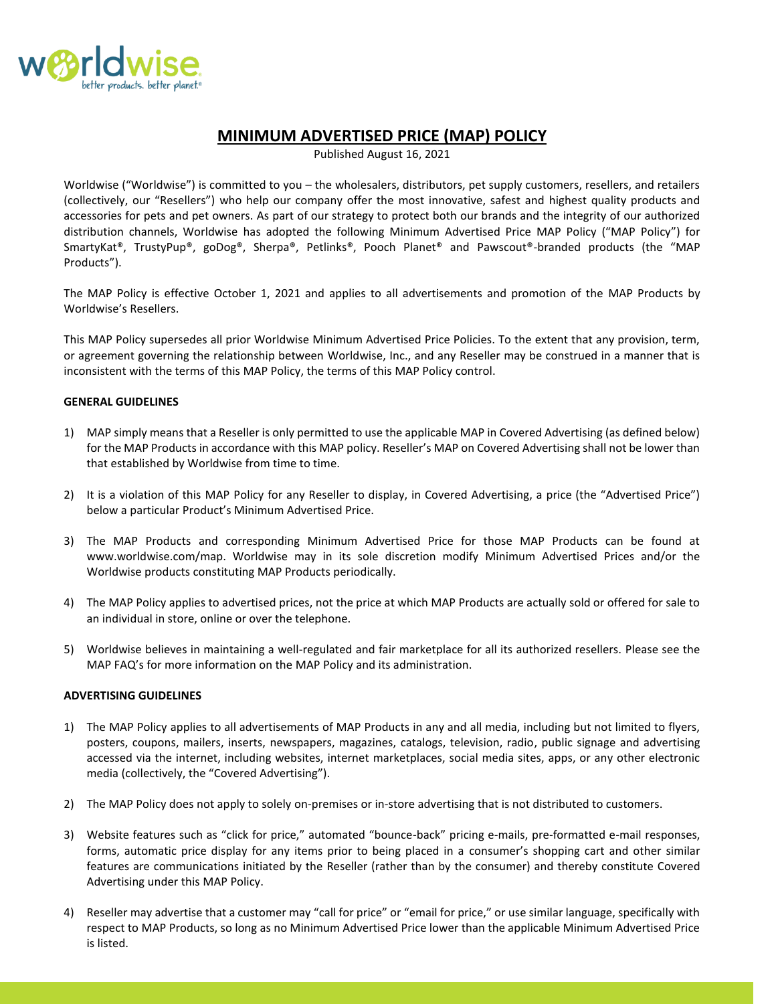

# **MINIMUM ADVERTISED PRICE (MAP) POLICY**

Published August 16, 2021

Worldwise ("Worldwise") is committed to you – the wholesalers, distributors, pet supply customers, resellers, and retailers (collectively, our "Resellers") who help our company offer the most innovative, safest and highest quality products and accessories for pets and pet owners. As part of our strategy to protect both our brands and the integrity of our authorized distribution channels, Worldwise has adopted the following Minimum Advertised Price MAP Policy ("MAP Policy") for SmartyKat®, TrustyPup®, goDog®, Sherpa®, Petlinks®, Pooch Planet® and Pawscout®-branded products (the "MAP Products").

The MAP Policy is effective October 1, 2021 and applies to all advertisements and promotion of the MAP Products by Worldwise's Resellers.

This MAP Policy supersedes all prior Worldwise Minimum Advertised Price Policies. To the extent that any provision, term, or agreement governing the relationship between Worldwise, Inc., and any Reseller may be construed in a manner that is inconsistent with the terms of this MAP Policy, the terms of this MAP Policy control.

## **GENERAL GUIDELINES**

- 1) MAP simply means that a Reseller is only permitted to use the applicable MAP in Covered Advertising (as defined below) for the MAP Products in accordance with this MAP policy. Reseller's MAP on Covered Advertising shall not be lower than that established by Worldwise from time to time.
- 2) It is a violation of this MAP Policy for any Reseller to display, in Covered Advertising, a price (the "Advertised Price") below a particular Product's Minimum Advertised Price.
- 3) The MAP Products and corresponding Minimum Advertised Price for those MAP Products can be found at www.worldwise.com/map. Worldwise may in its sole discretion modify Minimum Advertised Prices and/or the Worldwise products constituting MAP Products periodically.
- 4) The MAP Policy applies to advertised prices, not the price at which MAP Products are actually sold or offered for sale to an individual in store, online or over the telephone.
- 5) Worldwise believes in maintaining a well-regulated and fair marketplace for all its authorized resellers. Please see the MAP FAQ's for more information on the MAP Policy and its administration.

## **ADVERTISING GUIDELINES**

- 1) The MAP Policy applies to all advertisements of MAP Products in any and all media, including but not limited to flyers, posters, coupons, mailers, inserts, newspapers, magazines, catalogs, television, radio, public signage and advertising accessed via the internet, including websites, internet marketplaces, social media sites, apps, or any other electronic media (collectively, the "Covered Advertising").
- 2) The MAP Policy does not apply to solely on-premises or in-store advertising that is not distributed to customers.
- 3) Website features such as "click for price," automated "bounce-back" pricing e-mails, pre-formatted e-mail responses, forms, automatic price display for any items prior to being placed in a consumer's shopping cart and other similar features are communications initiated by the Reseller (rather than by the consumer) and thereby constitute Covered Advertising under this MAP Policy.
- 4) Reseller may advertise that a customer may "call for price" or "email for price," or use similar language, specifically with respect to MAP Products, so long as no Minimum Advertised Price lower than the applicable Minimum Advertised Price is listed.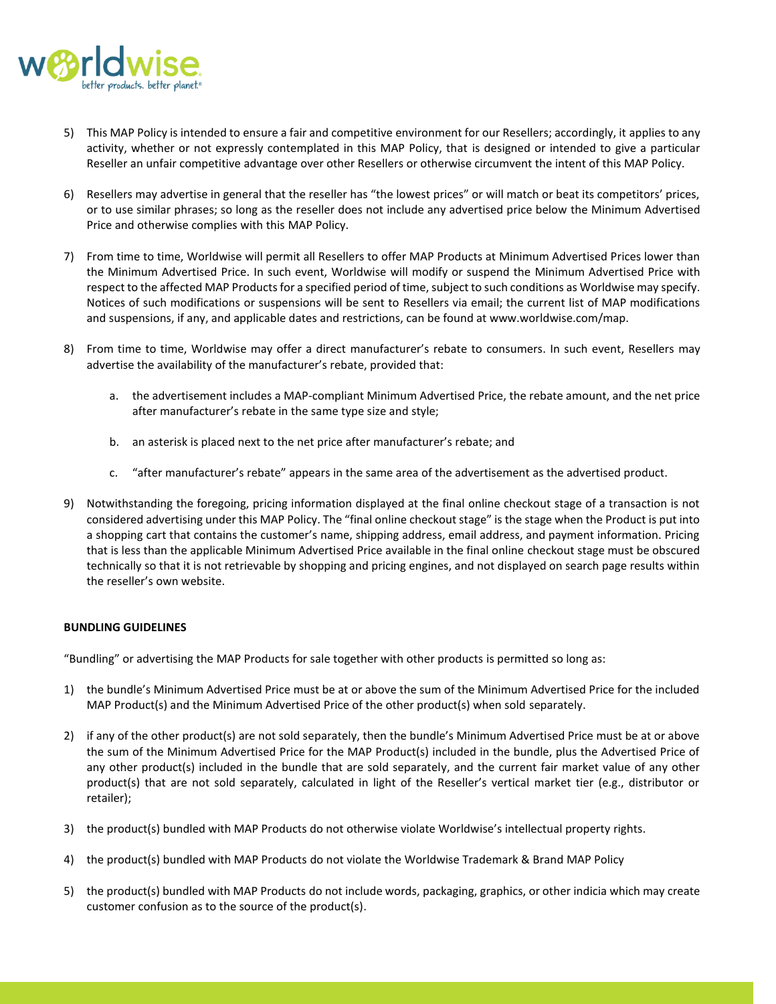

- 5) This MAP Policy is intended to ensure a fair and competitive environment for our Resellers; accordingly, it applies to any activity, whether or not expressly contemplated in this MAP Policy, that is designed or intended to give a particular Reseller an unfair competitive advantage over other Resellers or otherwise circumvent the intent of this MAP Policy.
- 6) Resellers may advertise in general that the reseller has "the lowest prices" or will match or beat its competitors' prices, or to use similar phrases; so long as the reseller does not include any advertised price below the Minimum Advertised Price and otherwise complies with this MAP Policy.
- 7) From time to time, Worldwise will permit all Resellers to offer MAP Products at Minimum Advertised Prices lower than the Minimum Advertised Price. In such event, Worldwise will modify or suspend the Minimum Advertised Price with respect to the affected MAP Products for a specified period of time, subject to such conditions as Worldwise may specify. Notices of such modifications or suspensions will be sent to Resellers via email; the current list of MAP modifications and suspensions, if any, and applicable dates and restrictions, can be found at www.worldwise.com/map.
- 8) From time to time, Worldwise may offer a direct manufacturer's rebate to consumers. In such event, Resellers may advertise the availability of the manufacturer's rebate, provided that:
	- a. the advertisement includes a MAP-compliant Minimum Advertised Price, the rebate amount, and the net price after manufacturer's rebate in the same type size and style;
	- b. an asterisk is placed next to the net price after manufacturer's rebate; and
	- c. "after manufacturer's rebate" appears in the same area of the advertisement as the advertised product.
- 9) Notwithstanding the foregoing, pricing information displayed at the final online checkout stage of a transaction is not considered advertising under this MAP Policy. The "final online checkout stage" is the stage when the Product is put into a shopping cart that contains the customer's name, shipping address, email address, and payment information. Pricing that is less than the applicable Minimum Advertised Price available in the final online checkout stage must be obscured technically so that it is not retrievable by shopping and pricing engines, and not displayed on search page results within the reseller's own website.

## **BUNDLING GUIDELINES**

"Bundling" or advertising the MAP Products for sale together with other products is permitted so long as:

- 1) the bundle's Minimum Advertised Price must be at or above the sum of the Minimum Advertised Price for the included MAP Product(s) and the Minimum Advertised Price of the other product(s) when sold separately.
- 2) if any of the other product(s) are not sold separately, then the bundle's Minimum Advertised Price must be at or above the sum of the Minimum Advertised Price for the MAP Product(s) included in the bundle, plus the Advertised Price of any other product(s) included in the bundle that are sold separately, and the current fair market value of any other product(s) that are not sold separately, calculated in light of the Reseller's vertical market tier (e.g., distributor or retailer);
- 3) the product(s) bundled with MAP Products do not otherwise violate Worldwise's intellectual property rights.
- 4) the product(s) bundled with MAP Products do not violate the Worldwise Trademark & Brand MAP Policy
- 5) the product(s) bundled with MAP Products do not include words, packaging, graphics, or other indicia which may create customer confusion as to the source of the product(s).